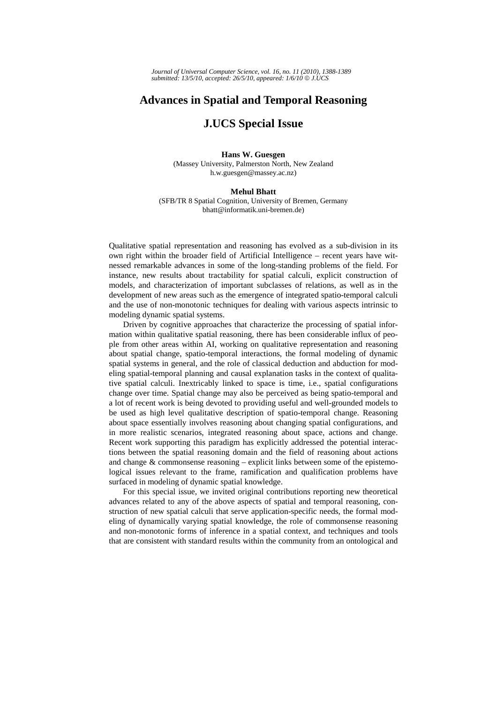*Journal of Universal Computer Science, vol. 16, no. 11 (2010), 1388-1389 submitted: 13/5/10, accepted: 26/5/10, appeared: 1/6/10* © *J.UCS*

## **Advances in Spatial and Temporal Reasoning**

## **J.UCS Special Issue**

## **Hans W. Guesgen**  (Massey University, Palmerston North, New Zealand h.w.guesgen@massey.ac.nz)

## **Mehul Bhatt**

(SFB/TR 8 Spatial Cognition, University of Bremen, Germany bhatt@informatik.uni-bremen.de)

Qualitative spatial representation and reasoning has evolved as a sub-division in its own right within the broader field of Artificial Intelligence – recent years have witnessed remarkable advances in some of the long-standing problems of the field. For instance, new results about tractability for spatial calculi, explicit construction of models, and characterization of important subclasses of relations, as well as in the development of new areas such as the emergence of integrated spatio-temporal calculi and the use of non-monotonic techniques for dealing with various aspects intrinsic to modeling dynamic spatial systems.

Driven by cognitive approaches that characterize the processing of spatial information within qualitative spatial reasoning, there has been considerable influx of people from other areas within AI, working on qualitative representation and reasoning about spatial change, spatio-temporal interactions, the formal modeling of dynamic spatial systems in general, and the role of classical deduction and abduction for modeling spatial-temporal planning and causal explanation tasks in the context of qualitative spatial calculi. Inextricably linked to space is time, i.e., spatial configurations change over time. Spatial change may also be perceived as being spatio-temporal and a lot of recent work is being devoted to providing useful and well-grounded models to be used as high level qualitative description of spatio-temporal change. Reasoning about space essentially involves reasoning about changing spatial configurations, and in more realistic scenarios, integrated reasoning about space, actions and change. Recent work supporting this paradigm has explicitly addressed the potential interactions between the spatial reasoning domain and the field of reasoning about actions and change  $&$  commonsense reasoning – explicit links between some of the epistemological issues relevant to the frame, ramification and qualification problems have surfaced in modeling of dynamic spatial knowledge.

For this special issue, we invited original contributions reporting new theoretical advances related to any of the above aspects of spatial and temporal reasoning, construction of new spatial calculi that serve application-specific needs, the formal modeling of dynamically varying spatial knowledge, the role of commonsense reasoning and non-monotonic forms of inference in a spatial context, and techniques and tools that are consistent with standard results within the community from an ontological and